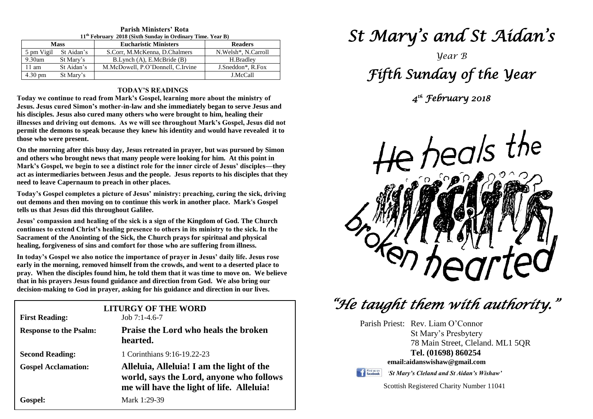| 11 FEBRUARY 2018 (SIXUI SUNUAY IN OPUMARY THILE, FEAR B) |            |                                   |                       |
|----------------------------------------------------------|------------|-----------------------------------|-----------------------|
| <b>Mass</b>                                              |            | <b>Eucharistic Ministers</b>      | <b>Readers</b>        |
| 5 pm Vigil                                               | St Aidan's | S.Corr, M.McKenna, D.Chalmers     | N. Welsh*, N. Carroll |
| $9.30$ am                                                | St Mary's  | B.Lynch (A), E.McBride (B)        | H.Bradlev             |
| $11 \text{ am}$                                          | St Aidan's | M.McDowell, P.O'Donnell, C.Irvine | J.Sneddon*, R.Fox     |
| $4.30 \text{ pm}$                                        | St Mary's  |                                   | J.McCall              |

#### **Parish Ministers' Rota 11th February 2018 (Sixth Sunday in Ordinary Time. Year B)**

#### **TODAY'S READINGS**

**Today we continue to read from Mark's Gospel, learning more about the ministry of Jesus. Jesus cured Simon's mother-in-law and she immediately began to serve Jesus and his disciples. Jesus also cured many others who were brought to him, healing their illnesses and driving out demons. As we will see throughout Mark's Gospel, Jesus did not permit the demons to speak because they knew his identity and would have revealed it to those who were present.**

**On the morning after this busy day, Jesus retreated in prayer, but was pursued by Simon and others who brought news that many people were looking for him. At this point in Mark's Gospel, we begin to see a distinct role for the inner circle of Jesus' disciples—they act as intermediaries between Jesus and the people. Jesus reports to his disciples that they need to leave Capernaum to preach in other places.**

**Today's Gospel completes a picture of Jesus' ministry: preaching, curing the sick, driving out demons and then moving on to continue this work in another place. Mark's Gospel tells us that Jesus did this throughout Galilee.**

 **Jesus' compassion and healing of the sick is a sign of the Kingdom of God. The Church healing, forgiveness of sins and comfort for those who are suffering from illness.**<br>In today's Geanal we also notice the importance of prever in Jesus' deily life. Jet **continues to extend Christ's healing presence to others in its ministry to the sick. In the Sacrament of the Anointing of the Sick, the Church prays for spiritual and physical** 

early in the morning, removed himself from the crowds, and went to a deserted place to<br>pray. When the disciples found him, he told them that it was time to move on. We believe  **decision-making to God in prayer, asking for his guidance and direction in our lives.In today's Gospel we also notice the importance of prayer in Jesus' daily life. Jesus rose early in the morning, removed himself from the crowds, and went to a deserted place to that in his prayers Jesus found guidance and direction from God. We also bring our** 

| <b>First Reading:</b>         | <b>LITURGY OF THE WORD</b><br>Job $7:1-4.6-7$                                                                                      |
|-------------------------------|------------------------------------------------------------------------------------------------------------------------------------|
| <b>Response to the Psalm:</b> | <b>Praise the Lord who heals the broken</b><br>hearted.                                                                            |
| <b>Second Reading:</b>        | 1 Corinthians 9:16-19.22-23                                                                                                        |
| <b>Gospel Acclamation:</b>    | Alleluia, Alleluia! I am the light of the<br>world, says the Lord, anyone who follows<br>me will have the light of life. Alleluia! |
| <b>Gospel:</b>                | Mark 1:29-39                                                                                                                       |

# *St Mary's and St Aidan's*

# *Year B Fifth Sunday of the Year*

*4 th February 2018* 



 *"He taught them with authority."* 

Parish Priest: Rev. Liam O'Connor St Mary's Presbytery 78 Main Street, Cleland. ML1 5QR **Tel. (01698) 860254 email:aidanswishaw@gmail.com**



*'St Mary's Cleland and St Aidan's Wishaw'*

Scottish Registered Charity Number 11041